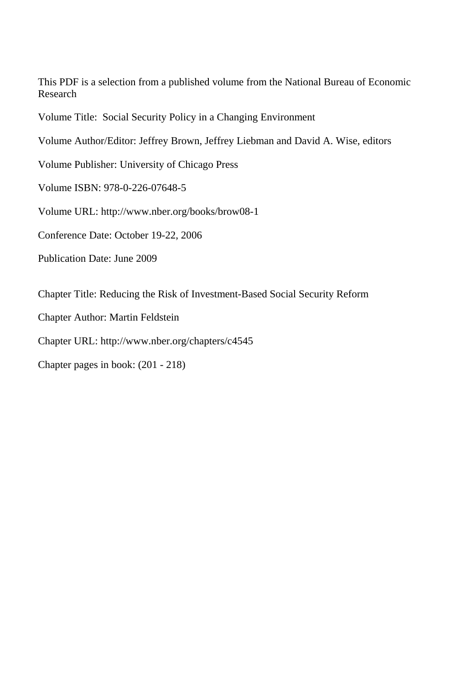This PDF is a selection from a published volume from the National Bureau of Economic Research

Volume Title: Social Security Policy in a Changing Environment

Volume Author/Editor: Jeffrey Brown, Jeffrey Liebman and David A. Wise, editors

Volume Publisher: University of Chicago Press

Volume ISBN: 978-0-226-07648-5

Volume URL: http://www.nber.org/books/brow08-1

Conference Date: October 19-22, 2006

Publication Date: June 2009

Chapter Title: Reducing the Risk of Investment-Based Social Security Reform

Chapter Author: Martin Feldstein

Chapter URL: http://www.nber.org/chapters/c4545

Chapter pages in book: (201 - 218)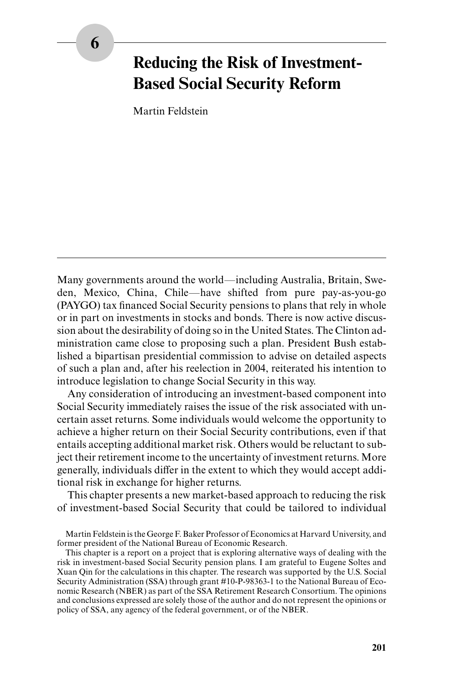# **Reducing the Risk of Investment-Based Social Security Reform**

Martin Feldstein

Many governments around the world—including Australia, Britain, Sweden, Mexico, China, Chile—have shifted from pure pay-as-you-go (PAYGO) tax financed Social Security pensions to plans that rely in whole or in part on investments in stocks and bonds. There is now active discussion about the desirability of doing so in the United States. The Clinton administration came close to proposing such a plan. President Bush established a bipartisan presidential commission to advise on detailed aspects of such a plan and, after his reelection in 2004, reiterated his intention to introduce legislation to change Social Security in this way.

Any consideration of introducing an investment-based component into Social Security immediately raises the issue of the risk associated with uncertain asset returns. Some individuals would welcome the opportunity to achieve a higher return on their Social Security contributions, even if that entails accepting additional market risk. Others would be reluctant to subject their retirement income to the uncertainty of investment returns. More generally, individuals differ in the extent to which they would accept additional risk in exchange for higher returns.

This chapter presents a new market-based approach to reducing the risk of investment-based Social Security that could be tailored to individual

Martin Feldstein is the George F. Baker Professor of Economics at Harvard University, and former president of the National Bureau of Economic Research.

This chapter is a report on a project that is exploring alternative ways of dealing with the risk in investment-based Social Security pension plans. I am grateful to Eugene Soltes and Xuan Qin for the calculations in this chapter. The research was supported by the U.S. Social Security Administration (SSA) through grant #10-P-98363-1 to the National Bureau of Economic Research (NBER) as part of the SSA Retirement Research Consortium. The opinions and conclusions expressed are solely those of the author and do not represent the opinions or policy of SSA, any agency of the federal government, or of the NBER.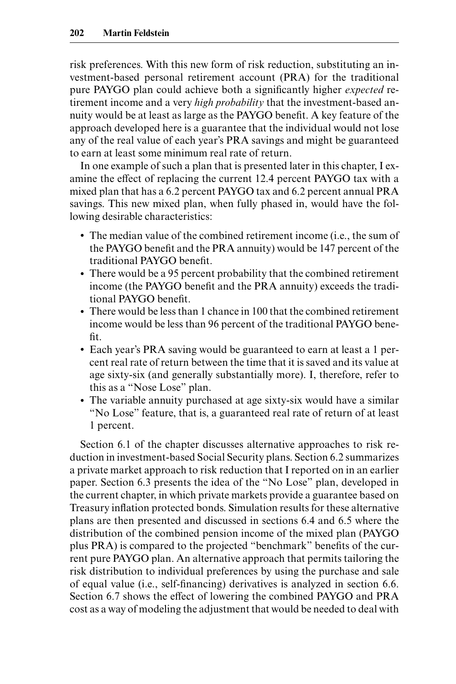risk preferences. With this new form of risk reduction, substituting an investment-based personal retirement account (PRA) for the traditional pure PAYGO plan could achieve both a significantly higher *expected* retirement income and a very *high probability* that the investment-based annuity would be at least as large as the PAYGO benefit. A key feature of the approach developed here is a guarantee that the individual would not lose any of the real value of each year's PRA savings and might be guaranteed to earn at least some minimum real rate of return.

In one example of such a plan that is presented later in this chapter, I examine the effect of replacing the current 12.4 percent PAYGO tax with a mixed plan that has a 6.2 percent PAYGO tax and 6.2 percent annual PRA savings. This new mixed plan, when fully phased in, would have the following desirable characteristics:

- The median value of the combined retirement income (i.e., the sum of the PAYGO benefit and the PRA annuity) would be 147 percent of the traditional PAYGO benefit.
- There would be a 95 percent probability that the combined retirement income (the PAYGO benefit and the PRA annuity) exceeds the traditional PAYGO benefit.
- There would be less than 1 chance in 100 that the combined retirement income would be less than 96 percent of the traditional PAYGO benefit.
- Each year's PRA saving would be guaranteed to earn at least a 1 percent real rate of return between the time that it is saved and its value at age sixty-six (and generally substantially more). I, therefore, refer to this as a "Nose Lose" plan.
- The variable annuity purchased at age sixty-six would have a similar "No Lose" feature, that is, a guaranteed real rate of return of at least 1 percent.

Section 6.1 of the chapter discusses alternative approaches to risk reduction in investment-based Social Security plans. Section 6.2 summarizes a private market approach to risk reduction that I reported on in an earlier paper. Section 6.3 presents the idea of the "No Lose" plan, developed in the current chapter, in which private markets provide a guarantee based on Treasury inflation protected bonds. Simulation results for these alternative plans are then presented and discussed in sections 6.4 and 6.5 where the distribution of the combined pension income of the mixed plan (PAYGO plus PRA) is compared to the projected "benchmark" benefits of the current pure PAYGO plan. An alternative approach that permits tailoring the risk distribution to individual preferences by using the purchase and sale of equal value (i.e., self-financing) derivatives is analyzed in section 6.6. Section 6.7 shows the effect of lowering the combined PAYGO and PRA cost as a way of modeling the adjustment that would be needed to deal with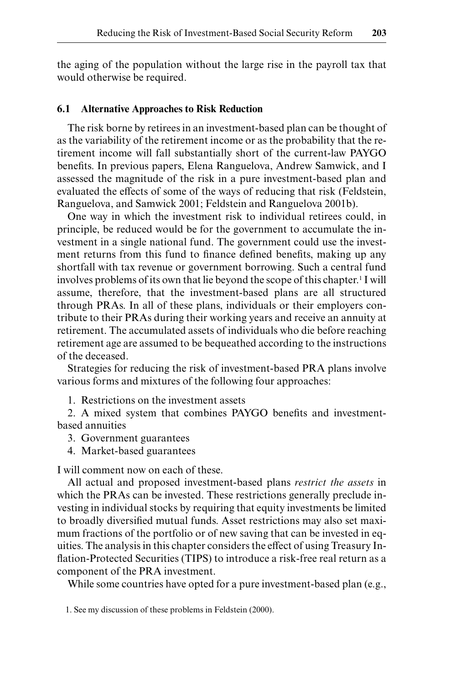the aging of the population without the large rise in the payroll tax that would otherwise be required.

#### **6.1 Alternative Approaches to Risk Reduction**

The risk borne by retirees in an investment-based plan can be thought of as the variability of the retirement income or as the probability that the retirement income will fall substantially short of the current-law PAYGO benefits. In previous papers, Elena Ranguelova, Andrew Samwick, and I assessed the magnitude of the risk in a pure investment-based plan and evaluated the effects of some of the ways of reducing that risk (Feldstein, Ranguelova, and Samwick 2001; Feldstein and Ranguelova 2001b).

One way in which the investment risk to individual retirees could, in principle, be reduced would be for the government to accumulate the investment in a single national fund. The government could use the investment returns from this fund to finance defined benefits, making up any shortfall with tax revenue or government borrowing. Such a central fund involves problems of its own that lie beyond the scope of this chapter.<sup>1</sup> I will assume, therefore, that the investment-based plans are all structured through PRAs. In all of these plans, individuals or their employers contribute to their PRAs during their working years and receive an annuity at retirement. The accumulated assets of individuals who die before reaching retirement age are assumed to be bequeathed according to the instructions of the deceased.

Strategies for reducing the risk of investment-based PRA plans involve various forms and mixtures of the following four approaches:

1. Restrictions on the investment assets

2. A mixed system that combines PAYGO benefits and investmentbased annuities

3. Government guarantees

4. Market-based guarantees

I will comment now on each of these.

All actual and proposed investment-based plans *restrict the assets* in which the PRAs can be invested. These restrictions generally preclude investing in individual stocks by requiring that equity investments be limited to broadly diversified mutual funds. Asset restrictions may also set maximum fractions of the portfolio or of new saving that can be invested in equities. The analysis in this chapter considers the effect of using Treasury Inflation-Protected Securities (TIPS) to introduce a risk-free real return as a component of the PRA investment.

While some countries have opted for a pure investment-based plan (e.g.,

1. See my discussion of these problems in Feldstein (2000).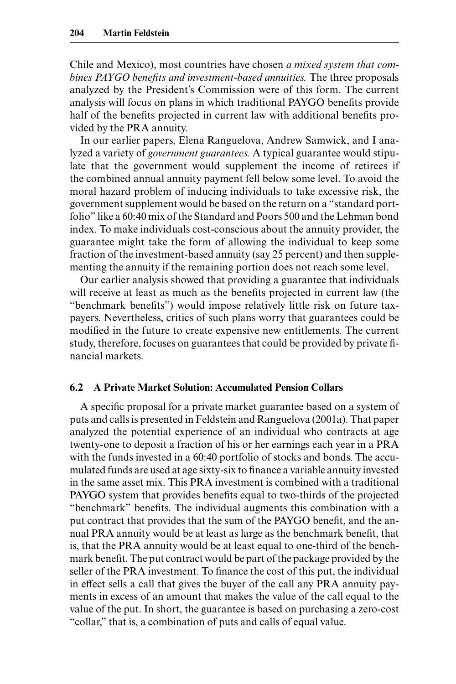Chile and Mexico), most countries have chosen *a mixed system that combines PAYGO benefits and investment-based annuities.* The three proposals analyzed by the President's Commission were of this form. The current analysis will focus on plans in which traditional PAYGO benefits provide half of the benefits projected in current law with additional benefits provided by the PRA annuity.

In our earlier papers, Elena Ranguelova, Andrew Samwick, and I analyzed a variety of *government guarantees.* A typical guarantee would stipulate that the government would supplement the income of retirees if the combined annual annuity payment fell below some level. To avoid the moral hazard problem of inducing individuals to take excessive risk, the government supplement would be based on the return on a "standard portfolio" like a 60:40 mix of the Standard and Poors 500 and the Lehman bond index. To make individuals cost-conscious about the annuity provider, the guarantee might take the form of allowing the individual to keep some fraction of the investment-based annuity (say 25 percent) and then supplementing the annuity if the remaining portion does not reach some level.

Our earlier analysis showed that providing a guarantee that individuals will receive at least as much as the benefits projected in current law (the "benchmark benefits") would impose relatively little risk on future taxpayers. Nevertheless, critics of such plans worry that guarantees could be modified in the future to create expensive new entitlements. The current study, therefore, focuses on guarantees that could be provided by private financial markets.

#### **6.2 A Private Market Solution: Accumulated Pension Collars**

A specific proposal for a private market guarantee based on a system of puts and calls is presented in Feldstein and Ranguelova (2001a). That paper analyzed the potential experience of an individual who contracts at age twenty-one to deposit a fraction of his or her earnings each year in a PRA with the funds invested in a 60:40 portfolio of stocks and bonds. The accumulated funds are used at age sixty-six to finance a variable annuity invested in the same asset mix. This PRA investment is combined with a traditional PAYGO system that provides benefits equal to two-thirds of the projected "benchmark" benefits. The individual augments this combination with a put contract that provides that the sum of the PAYGO benefit, and the annual PRA annuity would be at least as large as the benchmark benefit, that is, that the PRA annuity would be at least equal to one-third of the benchmark benefit. The put contract would be part of the package provided by the seller of the PRA investment. To finance the cost of this put, the individual in effect sells a call that gives the buyer of the call any PRA annuity payments in excess of an amount that makes the value of the call equal to the value of the put. In short, the guarantee is based on purchasing a zero-cost "collar," that is, a combination of puts and calls of equal value.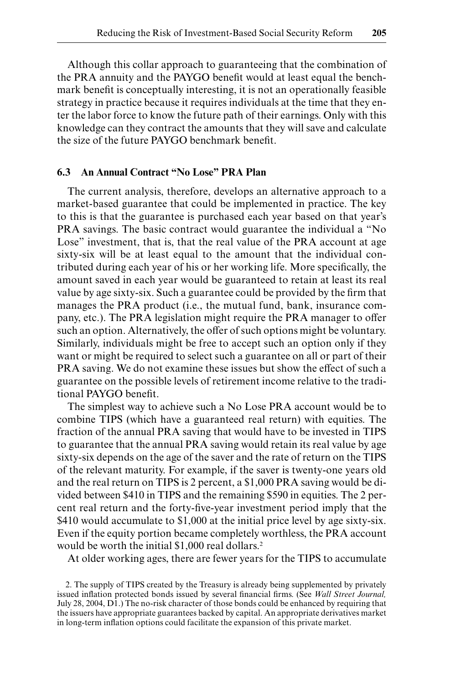Although this collar approach to guaranteeing that the combination of the PRA annuity and the PAYGO benefit would at least equal the benchmark benefit is conceptually interesting, it is not an operationally feasible strategy in practice because it requires individuals at the time that they enter the labor force to know the future path of their earnings. Only with this knowledge can they contract the amounts that they will save and calculate the size of the future PAYGO benchmark benefit.

## **6.3 An Annual Contract "No Lose" PRA Plan**

The current analysis, therefore, develops an alternative approach to a market-based guarantee that could be implemented in practice. The key to this is that the guarantee is purchased each year based on that year's PRA savings. The basic contract would guarantee the individual a "No Lose" investment, that is, that the real value of the PRA account at age sixty-six will be at least equal to the amount that the individual contributed during each year of his or her working life. More specifically, the amount saved in each year would be guaranteed to retain at least its real value by age sixty-six. Such a guarantee could be provided by the firm that manages the PRA product (i.e., the mutual fund, bank, insurance company, etc.). The PRA legislation might require the PRA manager to offer such an option. Alternatively, the offer of such options might be voluntary. Similarly, individuals might be free to accept such an option only if they want or might be required to select such a guarantee on all or part of their PRA saving. We do not examine these issues but show the effect of such a guarantee on the possible levels of retirement income relative to the traditional PAYGO benefit.

The simplest way to achieve such a No Lose PRA account would be to combine TIPS (which have a guaranteed real return) with equities. The fraction of the annual PRA saving that would have to be invested in TIPS to guarantee that the annual PRA saving would retain its real value by age sixty-six depends on the age of the saver and the rate of return on the TIPS of the relevant maturity. For example, if the saver is twenty-one years old and the real return on TIPS is 2 percent, a \$1,000 PRA saving would be divided between \$410 in TIPS and the remaining \$590 in equities. The 2 percent real return and the forty-five-year investment period imply that the \$410 would accumulate to \$1,000 at the initial price level by age sixty-six. Even if the equity portion became completely worthless, the PRA account would be worth the initial \$1,000 real dollars.<sup>2</sup>

At older working ages, there are fewer years for the TIPS to accumulate

2. The supply of TIPS created by the Treasury is already being supplemented by privately issued inflation protected bonds issued by several financial firms. (See *Wall Street Journal,* July 28, 2004, D1.) The no-risk character of those bonds could be enhanced by requiring that the issuers have appropriate guarantees backed by capital. An appropriate derivatives market in long-term inflation options could facilitate the expansion of this private market.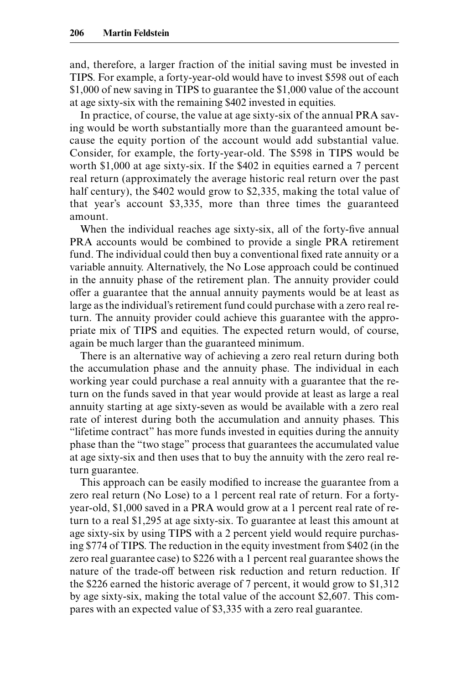and, therefore, a larger fraction of the initial saving must be invested in TIPS. For example, a forty-year-old would have to invest \$598 out of each \$1,000 of new saving in TIPS to guarantee the \$1,000 value of the account at age sixty-six with the remaining \$402 invested in equities.

In practice, of course, the value at age sixty-six of the annual PRA saving would be worth substantially more than the guaranteed amount because the equity portion of the account would add substantial value. Consider, for example, the forty-year-old. The \$598 in TIPS would be worth \$1,000 at age sixty-six. If the \$402 in equities earned a 7 percent real return (approximately the average historic real return over the past half century), the \$402 would grow to \$2,335, making the total value of that year's account \$3,335, more than three times the guaranteed amount.

When the individual reaches age sixty-six, all of the forty-five annual PRA accounts would be combined to provide a single PRA retirement fund. The individual could then buy a conventional fixed rate annuity or a variable annuity. Alternatively, the No Lose approach could be continued in the annuity phase of the retirement plan. The annuity provider could offer a guarantee that the annual annuity payments would be at least as large as the individual's retirement fund could purchase with a zero real return. The annuity provider could achieve this guarantee with the appropriate mix of TIPS and equities. The expected return would, of course, again be much larger than the guaranteed minimum.

There is an alternative way of achieving a zero real return during both the accumulation phase and the annuity phase. The individual in each working year could purchase a real annuity with a guarantee that the return on the funds saved in that year would provide at least as large a real annuity starting at age sixty-seven as would be available with a zero real rate of interest during both the accumulation and annuity phases. This "lifetime contract" has more funds invested in equities during the annuity phase than the "two stage" process that guarantees the accumulated value at age sixty-six and then uses that to buy the annuity with the zero real return guarantee.

This approach can be easily modified to increase the guarantee from a zero real return (No Lose) to a 1 percent real rate of return. For a fortyyear-old, \$1,000 saved in a PRA would grow at a 1 percent real rate of return to a real \$1,295 at age sixty-six. To guarantee at least this amount at age sixty-six by using TIPS with a 2 percent yield would require purchasing \$774 of TIPS. The reduction in the equity investment from \$402 (in the zero real guarantee case) to \$226 with a 1 percent real guarantee shows the nature of the trade-off between risk reduction and return reduction. If the \$226 earned the historic average of 7 percent, it would grow to \$1,312 by age sixty-six, making the total value of the account \$2,607. This compares with an expected value of \$3,335 with a zero real guarantee.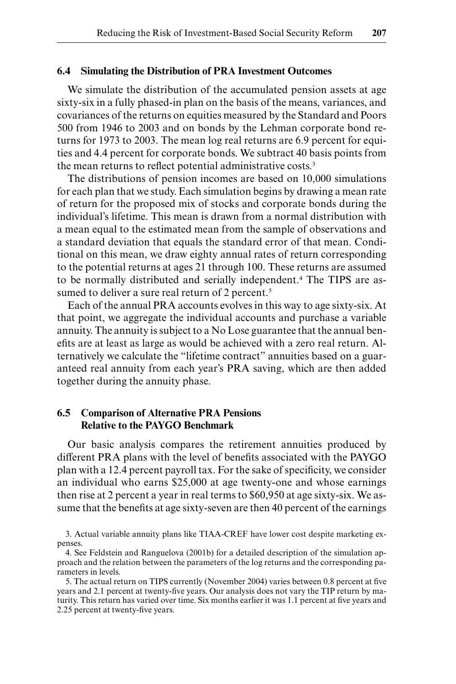#### **6.4 Simulating the Distribution of PRA Investment Outcomes**

We simulate the distribution of the accumulated pension assets at age sixty-six in a fully phased-in plan on the basis of the means, variances, and covariances of the returns on equities measured by the Standard and Poors 500 from 1946 to 2003 and on bonds by the Lehman corporate bond returns for 1973 to 2003. The mean log real returns are 6.9 percent for equities and 4.4 percent for corporate bonds. We subtract 40 basis points from the mean returns to reflect potential administrative costs.<sup>3</sup>

The distributions of pension incomes are based on 10,000 simulations for each plan that we study. Each simulation begins by drawing a mean rate of return for the proposed mix of stocks and corporate bonds during the individual's lifetime. This mean is drawn from a normal distribution with a mean equal to the estimated mean from the sample of observations and a standard deviation that equals the standard error of that mean. Conditional on this mean, we draw eighty annual rates of return corresponding to the potential returns at ages 21 through 100. These returns are assumed to be normally distributed and serially independent.4 The TIPS are assumed to deliver a sure real return of 2 percent.<sup>5</sup>

Each of the annual PRA accounts evolves in this way to age sixty-six. At that point, we aggregate the individual accounts and purchase a variable annuity. The annuity is subject to a No Lose guarantee that the annual benefits are at least as large as would be achieved with a zero real return. Alternatively we calculate the "lifetime contract" annuities based on a guaranteed real annuity from each year's PRA saving, which are then added together during the annuity phase.

## **6.5 Comparison of Alternative PRA Pensions Relative to the PAYGO Benchmark**

Our basic analysis compares the retirement annuities produced by different PRA plans with the level of benefits associated with the PAYGO plan with a 12.4 percent payroll tax. For the sake of specificity, we consider an individual who earns \$25,000 at age twenty-one and whose earnings then rise at 2 percent a year in real terms to \$60,950 at age sixty-six. We assume that the benefits at age sixty-seven are then 40 percent of the earnings

3. Actual variable annuity plans like TIAA-CREF have lower cost despite marketing expenses.

5. The actual return on TIPS currently (November 2004) varies between 0.8 percent at five years and 2.1 percent at twenty-five years. Our analysis does not vary the TIP return by maturity. This return has varied over time. Six months earlier it was 1.1 percent at five years and 2.25 percent at twenty-five years.

<sup>4.</sup> See Feldstein and Ranguelova (2001b) for a detailed description of the simulation approach and the relation between the parameters of the log returns and the corresponding parameters in levels.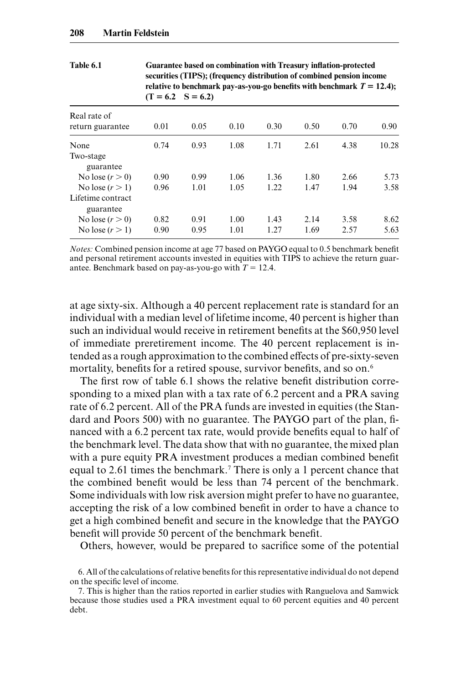|                                  | relative to benchmark pay-as-you-go benefits with benchmark $T = 12.4$ ;<br>$(T = 6.2 \quad S = 6.2)$ |      |      |      |      |      |       |  |
|----------------------------------|-------------------------------------------------------------------------------------------------------|------|------|------|------|------|-------|--|
| Real rate of<br>return guarantee | 0.01                                                                                                  | 0.05 | 0.10 | 0.30 | 0.50 | 0.70 | 0.90  |  |
| None                             | 0.74                                                                                                  | 0.93 | 1.08 | 1.71 | 2.61 | 4.38 | 10.28 |  |
| Two-stage<br>guarantee           |                                                                                                       |      |      |      |      |      |       |  |
| No lose $(r > 0)$                | 0.90                                                                                                  | 0.99 | 1.06 | 1.36 | 1.80 | 2.66 | 5.73  |  |
| No lose $(r > 1)$                | 0.96                                                                                                  | 1.01 | 1.05 | 1.22 | 1.47 | 1.94 | 3.58  |  |
| Lifetime contract<br>guarantee   |                                                                                                       |      |      |      |      |      |       |  |
| No lose $(r > 0)$                | 0.82                                                                                                  | 0.91 | 1.00 | 1.43 | 2.14 | 3.58 | 8.62  |  |
| No lose $(r > 1)$                | 0.90                                                                                                  | 0.95 | 1.01 | 1.27 | 1.69 | 2.57 | 5.63  |  |

**Table 6.1 Guarantee based on combination with Treasury inflation-protected securities (TIPS); (frequency distribution of combined pension income**

*Notes:* Combined pension income at age 77 based on PAYGO equal to 0.5 benchmark benefit and personal retirement accounts invested in equities with TIPS to achieve the return guarantee. Benchmark based on pay-as-you-go with  $T = 12.4$ .

at age sixty-six. Although a 40 percent replacement rate is standard for an individual with a median level of lifetime income, 40 percent is higher than such an individual would receive in retirement benefits at the \$60,950 level of immediate preretirement income. The 40 percent replacement is intended as a rough approximation to the combined effects of pre-sixty-seven mortality, benefits for a retired spouse, survivor benefits, and so on.<sup>6</sup>

The first row of table 6.1 shows the relative benefit distribution corresponding to a mixed plan with a tax rate of 6.2 percent and a PRA saving rate of 6.2 percent. All of the PRA funds are invested in equities (the Standard and Poors 500) with no guarantee. The PAYGO part of the plan, financed with a 6.2 percent tax rate, would provide benefits equal to half of the benchmark level. The data show that with no guarantee, the mixed plan with a pure equity PRA investment produces a median combined benefit equal to 2.61 times the benchmark.7 There is only a 1 percent chance that the combined benefit would be less than 74 percent of the benchmark. Some individuals with low risk aversion might prefer to have no guarantee, accepting the risk of a low combined benefit in order to have a chance to get a high combined benefit and secure in the knowledge that the PAYGO benefit will provide 50 percent of the benchmark benefit.

Others, however, would be prepared to sacrifice some of the potential

<sup>6.</sup> All of the calculations of relative benefits for this representative individual do not depend on the specific level of income.

<sup>7.</sup> This is higher than the ratios reported in earlier studies with Ranguelova and Samwick because those studies used a PRA investment equal to 60 percent equities and 40 percent debt.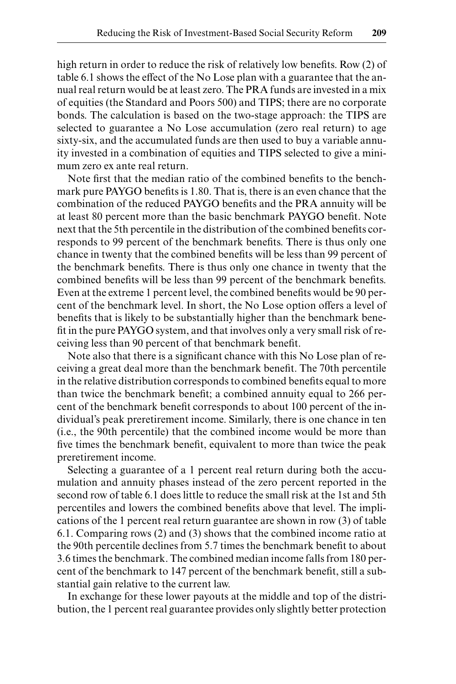high return in order to reduce the risk of relatively low benefits. Row (2) of table 6.1 shows the effect of the No Lose plan with a guarantee that the annual real return would be at least zero. The PRA funds are invested in a mix of equities (the Standard and Poors 500) and TIPS; there are no corporate bonds. The calculation is based on the two-stage approach: the TIPS are selected to guarantee a No Lose accumulation (zero real return) to age sixty-six, and the accumulated funds are then used to buy a variable annuity invested in a combination of equities and TIPS selected to give a minimum zero ex ante real return.

Note first that the median ratio of the combined benefits to the benchmark pure PAYGO benefits is 1.80. That is, there is an even chance that the combination of the reduced PAYGO benefits and the PRA annuity will be at least 80 percent more than the basic benchmark PAYGO benefit. Note next that the 5th percentile in the distribution of the combined benefits corresponds to 99 percent of the benchmark benefits. There is thus only one chance in twenty that the combined benefits will be less than 99 percent of the benchmark benefits. There is thus only one chance in twenty that the combined benefits will be less than 99 percent of the benchmark benefits. Even at the extreme 1 percent level, the combined benefits would be 90 percent of the benchmark level. In short, the No Lose option offers a level of benefits that is likely to be substantially higher than the benchmark benefit in the pure PAYGO system, and that involves only a very small risk of receiving less than 90 percent of that benchmark benefit.

Note also that there is a significant chance with this No Lose plan of receiving a great deal more than the benchmark benefit. The 70th percentile in the relative distribution corresponds to combined benefits equal to more than twice the benchmark benefit; a combined annuity equal to 266 percent of the benchmark benefit corresponds to about 100 percent of the individual's peak preretirement income. Similarly, there is one chance in ten (i.e., the 90th percentile) that the combined income would be more than five times the benchmark benefit, equivalent to more than twice the peak preretirement income.

Selecting a guarantee of a 1 percent real return during both the accumulation and annuity phases instead of the zero percent reported in the second row of table 6.1 does little to reduce the small risk at the 1st and 5th percentiles and lowers the combined benefits above that level. The implications of the 1 percent real return guarantee are shown in row (3) of table 6.1. Comparing rows (2) and (3) shows that the combined income ratio at the 90th percentile declines from 5.7 times the benchmark benefit to about 3.6 times the benchmark. The combined median income falls from 180 percent of the benchmark to 147 percent of the benchmark benefit, still a substantial gain relative to the current law.

In exchange for these lower payouts at the middle and top of the distribution, the 1 percent real guarantee provides only slightly better protection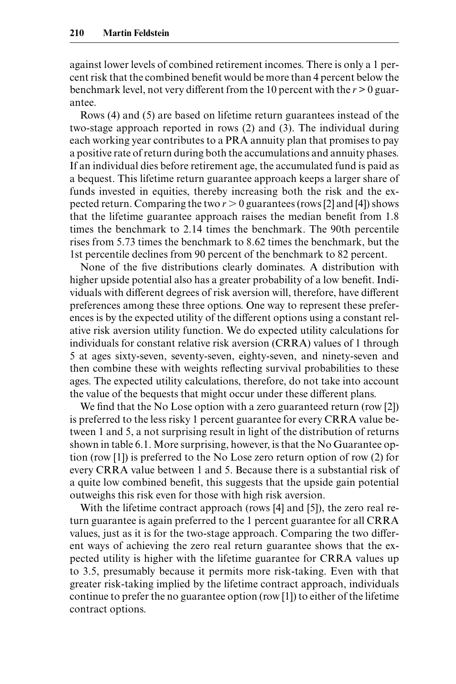against lower levels of combined retirement incomes. There is only a 1 percent risk that the combined benefit would be more than 4 percent below the benchmark level, not very different from the 10 percent with the *r* > 0 guarantee.

Rows (4) and (5) are based on lifetime return guarantees instead of the two-stage approach reported in rows (2) and (3). The individual during each working year contributes to a PRA annuity plan that promises to pay a positive rate of return during both the accumulations and annuity phases. If an individual dies before retirement age, the accumulated fund is paid as a bequest. This lifetime return guarantee approach keeps a larger share of funds invested in equities, thereby increasing both the risk and the expected return. Comparing the two  $r > 0$  guarantees (rows [2] and [4]) shows that the lifetime guarantee approach raises the median benefit from 1.8 times the benchmark to 2.14 times the benchmark. The 90th percentile rises from 5.73 times the benchmark to 8.62 times the benchmark, but the 1st percentile declines from 90 percent of the benchmark to 82 percent.

None of the five distributions clearly dominates. A distribution with higher upside potential also has a greater probability of a low benefit. Individuals with different degrees of risk aversion will, therefore, have different preferences among these three options. One way to represent these preferences is by the expected utility of the different options using a constant relative risk aversion utility function. We do expected utility calculations for individuals for constant relative risk aversion (CRRA) values of 1 through 5 at ages sixty-seven, seventy-seven, eighty-seven, and ninety-seven and then combine these with weights reflecting survival probabilities to these ages. The expected utility calculations, therefore, do not take into account the value of the bequests that might occur under these different plans.

We find that the No Lose option with a zero guaranteed return (row [2]) is preferred to the less risky 1 percent guarantee for every CRRA value between 1 and 5, a not surprising result in light of the distribution of returns shown in table 6.1. More surprising, however, is that the No Guarantee option (row [1]) is preferred to the No Lose zero return option of row (2) for every CRRA value between 1 and 5. Because there is a substantial risk of a quite low combined benefit, this suggests that the upside gain potential outweighs this risk even for those with high risk aversion.

With the lifetime contract approach (rows [4] and [5]), the zero real return guarantee is again preferred to the 1 percent guarantee for all CRRA values, just as it is for the two-stage approach. Comparing the two different ways of achieving the zero real return guarantee shows that the expected utility is higher with the lifetime guarantee for CRRA values up to 3.5, presumably because it permits more risk-taking. Even with that greater risk-taking implied by the lifetime contract approach, individuals continue to prefer the no guarantee option (row [1]) to either of the lifetime contract options.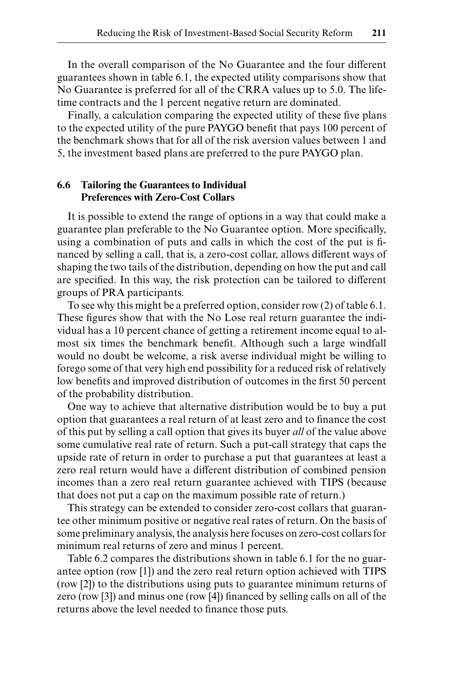In the overall comparison of the No Guarantee and the four different guarantees shown in table 6.1, the expected utility comparisons show that No Guarantee is preferred for all of the CRRA values up to 5.0. The lifetime contracts and the 1 percent negative return are dominated.

Finally, a calculation comparing the expected utility of these five plans to the expected utility of the pure PAYGO benefit that pays 100 percent of the benchmark shows that for all of the risk aversion values between 1 and 5, the investment based plans are preferred to the pure PAYGO plan.

## **6.6 Tailoring the Guarantees to Individual Preferences with Zero-Cost Collars**

It is possible to extend the range of options in a way that could make a guarantee plan preferable to the No Guarantee option. More specifically, using a combination of puts and calls in which the cost of the put is financed by selling a call, that is, a zero-cost collar, allows different ways of shaping the two tails of the distribution, depending on how the put and call are specified. In this way, the risk protection can be tailored to different groups of PRA participants.

To see why this might be a preferred option, consider row (2) of table 6.1. These figures show that with the No Lose real return guarantee the individual has a 10 percent chance of getting a retirement income equal to almost six times the benchmark benefit. Although such a large windfall would no doubt be welcome, a risk averse individual might be willing to forego some of that very high end possibility for a reduced risk of relatively low benefits and improved distribution of outcomes in the first 50 percent of the probability distribution.

One way to achieve that alternative distribution would be to buy a put option that guarantees a real return of at least zero and to finance the cost of this put by selling a call option that gives its buyer *all* of the value above some cumulative real rate of return. Such a put-call strategy that caps the upside rate of return in order to purchase a put that guarantees at least a zero real return would have a different distribution of combined pension incomes than a zero real return guarantee achieved with TIPS (because that does not put a cap on the maximum possible rate of return.)

This strategy can be extended to consider zero-cost collars that guarantee other minimum positive or negative real rates of return. On the basis of some preliminary analysis, the analysis here focuses on zero-cost collars for minimum real returns of zero and minus 1 percent.

Table 6.2 compares the distributions shown in table 6.1 for the no guarantee option (row [1]) and the zero real return option achieved with TIPS (row [2]) to the distributions using puts to guarantee minimum returns of zero (row [3]) and minus one (row [4]) financed by selling calls on all of the returns above the level needed to finance those puts.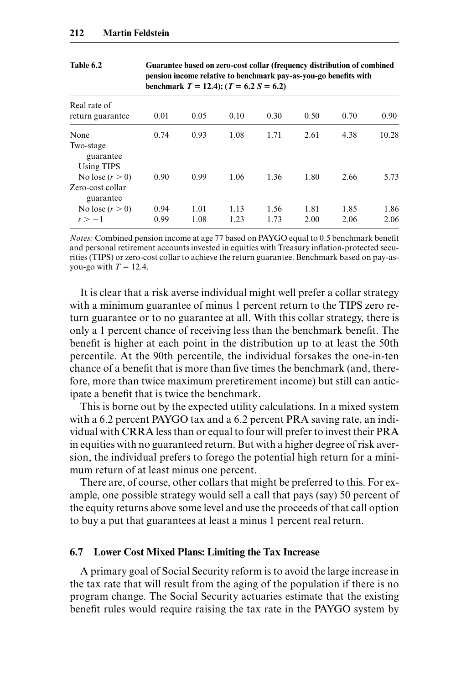| benchmark $T = 12.4$ ; $(T = 6.2 S = 6.2)$          |              |              |              |              |              |              |              |  |
|-----------------------------------------------------|--------------|--------------|--------------|--------------|--------------|--------------|--------------|--|
| Real rate of<br>return guarantee                    | 0.01         | 0.05         | 0.10         | 0.30         | 0.50         | 0.70         | 0.90         |  |
| None<br>Two-stage<br>guarantee<br><b>Using TIPS</b> | 0.74         | 0.93         | 1.08         | 1.71         | 2.61         | 4.38         | 10.28        |  |
| No lose $(r > 0)$<br>Zero-cost collar<br>guarantee  | 0.90         | 0.99         | 1.06         | 1.36         | 1.80         | 2.66         | 5.73         |  |
| No lose $(r > 0)$<br>$r > -1$                       | 0.94<br>0.99 | 1.01<br>1.08 | 1.13<br>1.23 | 1.56<br>1.73 | 1.81<br>2.00 | 1.85<br>2.06 | 1.86<br>2.06 |  |
|                                                     |              |              |              |              |              |              |              |  |

| <b>Table 6.2</b> | Guarantee based on zero-cost collar (frequency distribution of combined |
|------------------|-------------------------------------------------------------------------|
|                  | pension income relative to benchmark pay-as-you-go benefits with        |
|                  | benchmark $T = 12.4$ ; $(T = 6.2 S = 6.2)$                              |

*Notes:* Combined pension income at age 77 based on PAYGO equal to 0.5 benchmark benefit and personal retirement accounts invested in equities with Treasury inflation-protected securities (TIPS) or zero-cost collar to achieve the return guarantee. Benchmark based on pay-asyou-go with  $T = 12.4$ .

It is clear that a risk averse individual might well prefer a collar strategy with a minimum guarantee of minus 1 percent return to the TIPS zero return guarantee or to no guarantee at all. With this collar strategy, there is only a 1 percent chance of receiving less than the benchmark benefit. The benefit is higher at each point in the distribution up to at least the 50th percentile. At the 90th percentile, the individual forsakes the one-in-ten chance of a benefit that is more than five times the benchmark (and, therefore, more than twice maximum preretirement income) but still can anticipate a benefit that is twice the benchmark.

This is borne out by the expected utility calculations. In a mixed system with a 6.2 percent PAYGO tax and a 6.2 percent PRA saving rate, an individual with CRRA less than or equal to four will prefer to invest their PRA in equities with no guaranteed return. But with a higher degree of risk aversion, the individual prefers to forego the potential high return for a minimum return of at least minus one percent.

There are, of course, other collars that might be preferred to this. For example, one possible strategy would sell a call that pays (say) 50 percent of the equity returns above some level and use the proceeds of that call option to buy a put that guarantees at least a minus 1 percent real return.

#### **6.7 Lower Cost Mixed Plans: Limiting the Tax Increase**

A primary goal of Social Security reform is to avoid the large increase in the tax rate that will result from the aging of the population if there is no program change. The Social Security actuaries estimate that the existing benefit rules would require raising the tax rate in the PAYGO system by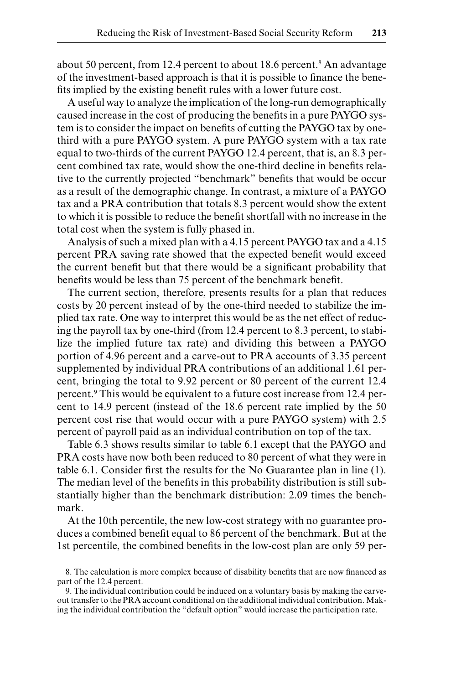about 50 percent, from 12.4 percent to about 18.6 percent.<sup>8</sup> An advantage of the investment-based approach is that it is possible to finance the benefits implied by the existing benefit rules with a lower future cost.

A useful way to analyze the implication of the long-run demographically caused increase in the cost of producing the benefits in a pure PAYGO system is to consider the impact on benefits of cutting the PAYGO tax by onethird with a pure PAYGO system. A pure PAYGO system with a tax rate equal to two-thirds of the current PAYGO 12.4 percent, that is, an 8.3 percent combined tax rate, would show the one-third decline in benefits relative to the currently projected "benchmark" benefits that would be occur as a result of the demographic change. In contrast, a mixture of a PAYGO tax and a PRA contribution that totals 8.3 percent would show the extent to which it is possible to reduce the benefit shortfall with no increase in the total cost when the system is fully phased in.

Analysis of such a mixed plan with a 4.15 percent PAYGO tax and a 4.15 percent PRA saving rate showed that the expected benefit would exceed the current benefit but that there would be a significant probability that benefits would be less than 75 percent of the benchmark benefit.

The current section, therefore, presents results for a plan that reduces costs by 20 percent instead of by the one-third needed to stabilize the implied tax rate. One way to interpret this would be as the net effect of reducing the payroll tax by one-third (from 12.4 percent to 8.3 percent, to stabilize the implied future tax rate) and dividing this between a PAYGO portion of 4.96 percent and a carve-out to PRA accounts of 3.35 percent supplemented by individual PRA contributions of an additional 1.61 percent, bringing the total to 9.92 percent or 80 percent of the current 12.4 percent.9 This would be equivalent to a future cost increase from 12.4 percent to 14.9 percent (instead of the 18.6 percent rate implied by the 50 percent cost rise that would occur with a pure PAYGO system) with 2.5 percent of payroll paid as an individual contribution on top of the tax.

Table 6.3 shows results similar to table 6.1 except that the PAYGO and PRA costs have now both been reduced to 80 percent of what they were in table 6.1. Consider first the results for the No Guarantee plan in line (1). The median level of the benefits in this probability distribution is still substantially higher than the benchmark distribution: 2.09 times the benchmark.

At the 10th percentile, the new low-cost strategy with no guarantee produces a combined benefit equal to 86 percent of the benchmark. But at the 1st percentile, the combined benefits in the low-cost plan are only 59 per-

<sup>8.</sup> The calculation is more complex because of disability benefits that are now financed as part of the 12.4 percent.

<sup>9.</sup> The individual contribution could be induced on a voluntary basis by making the carveout transfer to the PRA account conditional on the additional individual contribution. Making the individual contribution the "default option" would increase the participation rate.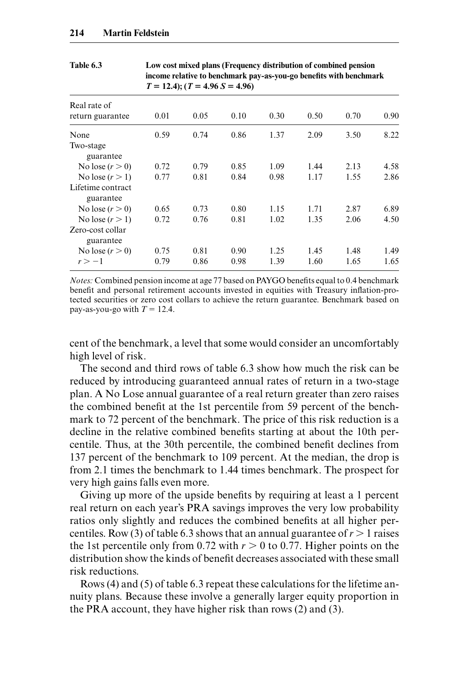| $I = I2.7$ , $I = 7.70$ $I = 7.70$ |      |      |      |      |      |      |      |  |
|------------------------------------|------|------|------|------|------|------|------|--|
| Real rate of<br>return guarantee   | 0.01 | 0.05 | 0.10 | 0.30 | 0.50 | 0.70 | 0.90 |  |
| None                               | 0.59 | 0.74 | 0.86 | 1.37 | 2.09 | 3.50 | 8.22 |  |
| Two-stage<br>guarantee             |      |      |      |      |      |      |      |  |
| No lose $(r > 0)$                  | 0.72 | 0.79 | 0.85 | 1.09 | 1.44 | 2.13 | 4.58 |  |
| No lose $(r > 1)$                  | 0.77 | 0.81 | 0.84 | 0.98 | 1.17 | 1.55 | 2.86 |  |
| Lifetime contract<br>guarantee     |      |      |      |      |      |      |      |  |
| No lose $(r > 0)$                  | 0.65 | 0.73 | 0.80 | 1.15 | 1.71 | 2.87 | 6.89 |  |
| No lose $(r > 1)$                  | 0.72 | 0.76 | 0.81 | 1.02 | 1.35 | 2.06 | 4.50 |  |
| Zero-cost collar<br>guarantee      |      |      |      |      |      |      |      |  |
| No lose $(r > 0)$                  | 0.75 | 0.81 | 0.90 | 1.25 | 1.45 | 1.48 | 1.49 |  |
| $r > -1$                           | 0.79 | 0.86 | 0.98 | 1.39 | 1.60 | 1.65 | 1.65 |  |
|                                    |      |      |      |      |      |      |      |  |

**Table 6.3 Low cost mixed plans (Frequency distribution of combined pension income relative to benchmark pay-as-you-go benefits with benchmark**   $T = 12.4$ ; ( $T = 4.96$   $S = 4.96$ )

*Notes:* Combined pension income at age 77 based on PAYGO benefits equal to 0.4 benchmark benefit and personal retirement accounts invested in equities with Treasury inflation-protected securities or zero cost collars to achieve the return guarantee. Benchmark based on pay-as-you-go with  $T = 12.4$ .

cent of the benchmark, a level that some would consider an uncomfortably high level of risk.

The second and third rows of table 6.3 show how much the risk can be reduced by introducing guaranteed annual rates of return in a two-stage plan. A No Lose annual guarantee of a real return greater than zero raises the combined benefit at the 1st percentile from 59 percent of the benchmark to 72 percent of the benchmark. The price of this risk reduction is a decline in the relative combined benefits starting at about the 10th percentile. Thus, at the 30th percentile, the combined benefit declines from 137 percent of the benchmark to 109 percent. At the median, the drop is from 2.1 times the benchmark to 1.44 times benchmark. The prospect for very high gains falls even more.

Giving up more of the upside benefits by requiring at least a 1 percent real return on each year's PRA savings improves the very low probability ratios only slightly and reduces the combined benefits at all higher percentiles. Row (3) of table 6.3 shows that an annual guarantee of  $r > 1$  raises the 1st percentile only from 0.72 with  $r > 0$  to 0.77. Higher points on the distribution show the kinds of benefit decreases associated with these small risk reductions.

Rows (4) and (5) of table 6.3 repeat these calculations for the lifetime annuity plans. Because these involve a generally larger equity proportion in the PRA account, they have higher risk than rows (2) and (3).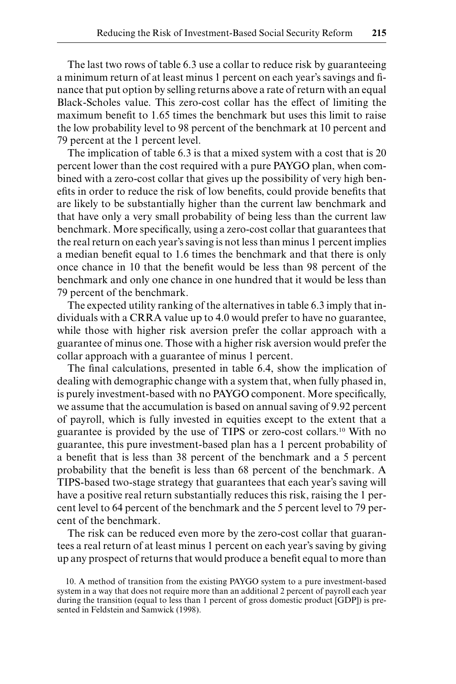The last two rows of table 6.3 use a collar to reduce risk by guaranteeing a minimum return of at least minus 1 percent on each year's savings and finance that put option by selling returns above a rate of return with an equal Black-Scholes value. This zero-cost collar has the effect of limiting the maximum benefit to 1.65 times the benchmark but uses this limit to raise the low probability level to 98 percent of the benchmark at 10 percent and 79 percent at the 1 percent level.

The implication of table 6.3 is that a mixed system with a cost that is 20 percent lower than the cost required with a pure PAYGO plan, when combined with a zero-cost collar that gives up the possibility of very high benefits in order to reduce the risk of low benefits, could provide benefits that are likely to be substantially higher than the current law benchmark and that have only a very small probability of being less than the current law benchmark. More specifically, using a zero-cost collar that guarantees that the real return on each year's saving is not less than minus 1 percent implies a median benefit equal to 1.6 times the benchmark and that there is only once chance in 10 that the benefit would be less than 98 percent of the benchmark and only one chance in one hundred that it would be less than 79 percent of the benchmark.

The expected utility ranking of the alternatives in table 6.3 imply that individuals with a CRRA value up to 4.0 would prefer to have no guarantee, while those with higher risk aversion prefer the collar approach with a guarantee of minus one. Those with a higher risk aversion would prefer the collar approach with a guarantee of minus 1 percent.

The final calculations, presented in table 6.4, show the implication of dealing with demographic change with a system that, when fully phased in, is purely investment-based with no PAYGO component. More specifically, we assume that the accumulation is based on annual saving of 9.92 percent of payroll, which is fully invested in equities except to the extent that a guarantee is provided by the use of TIPS or zero-cost collars.10 With no guarantee, this pure investment-based plan has a 1 percent probability of a benefit that is less than 38 percent of the benchmark and a 5 percent probability that the benefit is less than 68 percent of the benchmark. A TIPS-based two-stage strategy that guarantees that each year's saving will have a positive real return substantially reduces this risk, raising the 1 percent level to 64 percent of the benchmark and the 5 percent level to 79 percent of the benchmark.

The risk can be reduced even more by the zero-cost collar that guarantees a real return of at least minus 1 percent on each year's saving by giving up any prospect of returns that would produce a benefit equal to more than

<sup>10.</sup> A method of transition from the existing PAYGO system to a pure investment-based system in a way that does not require more than an additional 2 percent of payroll each year during the transition (equal to less than 1 percent of gross domestic product [GDP]) is presented in Feldstein and Samwick (1998).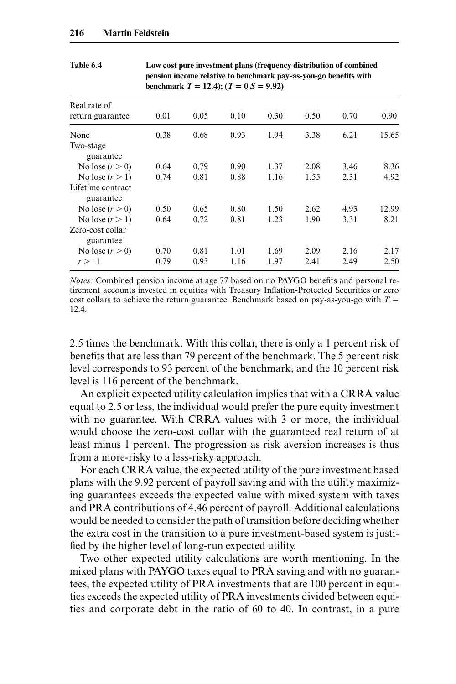|                                  | pension income relative to benchmark pay-as-you-go benefits with<br>benchmark $T = 12.4$ ; $(T = 0 S = 9.92)$ |      |      |      |      |      |       |  |
|----------------------------------|---------------------------------------------------------------------------------------------------------------|------|------|------|------|------|-------|--|
| Real rate of<br>return guarantee | 0.01                                                                                                          | 0.05 | 0.10 | 0.30 | 0.50 | 0.70 | 0.90  |  |
| None                             | 0.38                                                                                                          | 0.68 | 0.93 | 1.94 | 3.38 | 6.21 | 15.65 |  |
| Two-stage<br>guarantee           |                                                                                                               |      |      |      |      |      |       |  |
| No lose $(r > 0)$                | 0.64                                                                                                          | 0.79 | 0.90 | 1.37 | 2.08 | 3.46 | 8.36  |  |
| No lose $(r > 1)$                | 0.74                                                                                                          | 0.81 | 0.88 | 1.16 | 1.55 | 2.31 | 4.92  |  |
| Lifetime contract<br>guarantee   |                                                                                                               |      |      |      |      |      |       |  |
| No lose $(r > 0)$                | 0.50                                                                                                          | 0.65 | 0.80 | 1.50 | 2.62 | 4.93 | 12.99 |  |
| No lose $(r > 1)$                | 0.64                                                                                                          | 0.72 | 0.81 | 1.23 | 1.90 | 3.31 | 8.21  |  |
| Zero-cost collar<br>guarantee    |                                                                                                               |      |      |      |      |      |       |  |
| No lose $(r > 0)$                | 0.70                                                                                                          | 0.81 | 1.01 | 1.69 | 2.09 | 2.16 | 2.17  |  |
| $r > -1$                         | 0.79                                                                                                          | 0.93 | 1.16 | 1.97 | 2.41 | 2.49 | 2.50  |  |

**Table 6.4 Low cost pure investment plans (frequency distribution of combined pension income relative to benchmark pay-as-you-go benefits with**

*Notes:* Combined pension income at age 77 based on no PAYGO benefits and personal retirement accounts invested in equities with Treasury Inflation-Protected Securities or zero cost collars to achieve the return guarantee. Benchmark based on pay-as-you-go with  $T =$ 12.4.

2.5 times the benchmark. With this collar, there is only a 1 percent risk of benefits that are less than 79 percent of the benchmark. The 5 percent risk level corresponds to 93 percent of the benchmark, and the 10 percent risk level is 116 percent of the benchmark.

An explicit expected utility calculation implies that with a CRRA value equal to 2.5 or less, the individual would prefer the pure equity investment with no guarantee. With CRRA values with 3 or more, the individual would choose the zero-cost collar with the guaranteed real return of at least minus 1 percent. The progression as risk aversion increases is thus from a more-risky to a less-risky approach.

For each CRRA value, the expected utility of the pure investment based plans with the 9.92 percent of payroll saving and with the utility maximizing guarantees exceeds the expected value with mixed system with taxes and PRA contributions of 4.46 percent of payroll. Additional calculations would be needed to consider the path of transition before deciding whether the extra cost in the transition to a pure investment-based system is justified by the higher level of long-run expected utility.

Two other expected utility calculations are worth mentioning. In the mixed plans with PAYGO taxes equal to PRA saving and with no guarantees, the expected utility of PRA investments that are 100 percent in equities exceeds the expected utility of PRA investments divided between equities and corporate debt in the ratio of 60 to 40. In contrast, in a pure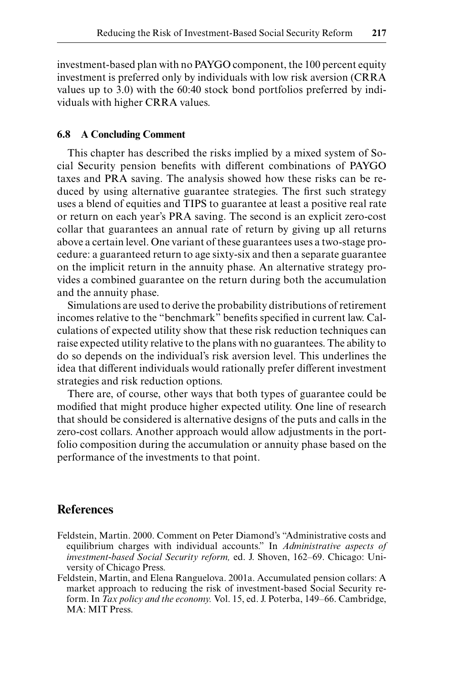investment-based plan with no PAYGO component, the 100 percent equity investment is preferred only by individuals with low risk aversion (CRRA values up to 3.0) with the 60:40 stock bond portfolios preferred by individuals with higher CRRA values.

## **6.8 A Concluding Comment**

This chapter has described the risks implied by a mixed system of Social Security pension benefits with different combinations of PAYGO taxes and PRA saving. The analysis showed how these risks can be reduced by using alternative guarantee strategies. The first such strategy uses a blend of equities and TIPS to guarantee at least a positive real rate or return on each year's PRA saving. The second is an explicit zero-cost collar that guarantees an annual rate of return by giving up all returns above a certain level. One variant of these guarantees uses a two-stage procedure: a guaranteed return to age sixty-six and then a separate guarantee on the implicit return in the annuity phase. An alternative strategy provides a combined guarantee on the return during both the accumulation and the annuity phase.

Simulations are used to derive the probability distributions of retirement incomes relative to the "benchmark" benefits specified in current law. Calculations of expected utility show that these risk reduction techniques can raise expected utility relative to the plans with no guarantees. The ability to do so depends on the individual's risk aversion level. This underlines the idea that different individuals would rationally prefer different investment strategies and risk reduction options.

There are, of course, other ways that both types of guarantee could be modified that might produce higher expected utility. One line of research that should be considered is alternative designs of the puts and calls in the zero-cost collars. Another approach would allow adjustments in the portfolio composition during the accumulation or annuity phase based on the performance of the investments to that point.

## **References**

- Feldstein, Martin. 2000. Comment on Peter Diamond's "Administrative costs and equilibrium charges with individual accounts." In *Administrative aspects of investment-based Social Security reform,* ed. J. Shoven, 162–69. Chicago: University of Chicago Press.
- Feldstein, Martin, and Elena Ranguelova. 2001a. Accumulated pension collars: A market approach to reducing the risk of investment-based Social Security reform. In *Tax policy and the economy.* Vol. 15, ed. J. Poterba, 149–66. Cambridge, MA: MIT Press.